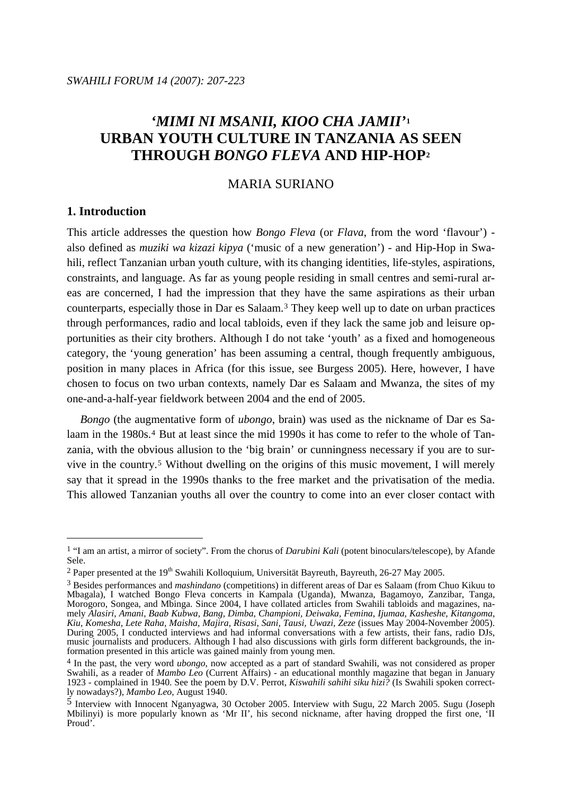# *'MIMI NI MSANII, KIOO CHA JAMII'***[1](#page-0-0) URBAN YOUTH CULTURE IN TANZANIA AS SEEN THROUGH** *BONGO FLEVA* **AND HIP-HOP[2](#page-0-1)**

# MARIA SURIANO

## **1. Introduction**

1

This article addresses the question how *Bongo Fleva* (or *Flava*, from the word 'flavour') also defined as *muziki wa kizazi kipya* ('music of a new generation') - and Hip-Hop in Swahili, reflect Tanzanian urban youth culture, with its changing identities, life-styles, aspirations, constraints, and language. As far as young people residing in small centres and semi-rural areas are concerned, I had the impression that they have the same aspirations as their urban counterparts, especially those in Dar es Salaam.[3](#page-0-2) They keep well up to date on urban practices through performances, radio and local tabloids, even if they lack the same job and leisure opportunities as their city brothers. Although I do not take 'youth' as a fixed and homogeneous category, the 'young generation' has been assuming a central, though frequently ambiguous, position in many places in Africa (for this issue, see Burgess 2005). Here, however, I have chosen to focus on two urban contexts, namely Dar es Salaam and Mwanza, the sites of my one-and-a-half-year fieldwork between 2004 and the end of 2005.

 *Bongo* (the augmentative form of *ubongo*, brain) was used as the nickname of Dar es Sa-laam in the 1980s.<sup>[4](#page-0-3)</sup> But at least since the mid 1990s it has come to refer to the whole of Tanzania, with the obvious allusion to the 'big brain' or cunningness necessary if you are to survive in the country.[5](#page-0-4) Without dwelling on the origins of this music movement, I will merely say that it spread in the 1990s thanks to the free market and the privatisation of the media. This allowed Tanzanian youths all over the country to come into an ever closer contact with

<span id="page-0-0"></span><sup>1 &</sup>quot;I am an artist, a mirror of society". From the chorus of *Darubini Kali* (potent binoculars/telescope), by Afande Sele.

<span id="page-0-1"></span><sup>&</sup>lt;sup>2</sup> Paper presented at the 19<sup>th</sup> Swahili Kolloquium, Universität Bayreuth, Bayreuth, 26-27 May 2005.

<span id="page-0-2"></span><sup>3</sup> Besides performances and *mashindano* (competitions) in different areas of Dar es Salaam (from Chuo Kikuu to Mbagala), I watched Bongo Fleva concerts in Kampala (Uganda), Mwanza, Bagamoyo, Zanzibar, Tanga, Morogoro, Songea, and Mbinga. Since 2004, I have collated articles from Swahili tabloids and magazines, namely *Alasiri*, *Amani, Baab Kubwa, Bang, Dimba, Championi, Deiwaka, Femina*, *Ijumaa, Kasheshe, Kitangoma, Kiu, Komesha, Lete Raha, Maisha, Majira, Risasi, Sani, Tausi, Uwazi, Zeze* (issues May 2004-November 2005). During 2005, I conducted interviews and had informal conversations with a few artists, their fans, radio DJs, music journalists and producers. Although I had also discussions with girls form different backgrounds, the information presented in this article was gained mainly from young men.

<span id="page-0-3"></span><sup>4</sup> In the past, the very word *ubongo*, now accepted as a part of standard Swahili, was not considered as proper Swahili, as a reader of *Mambo Leo* (Current Affairs) - an educational monthly magazine that began in January 1923 - complained in 1940. See the poem by D.V. Perrot, *Kiswahili sahihi siku hizi?* (Is Swahili spoken correctly nowadays?), *Mambo Leo*, August 1940.

<span id="page-0-4"></span><sup>5</sup> Interview with Innocent Nganyagwa, 30 October 2005. Interview with Sugu, 22 March 2005. Sugu (Joseph Mbilinyi) is more popularly known as 'Mr II', his second nickname, after having dropped the first one, 'II Proud'.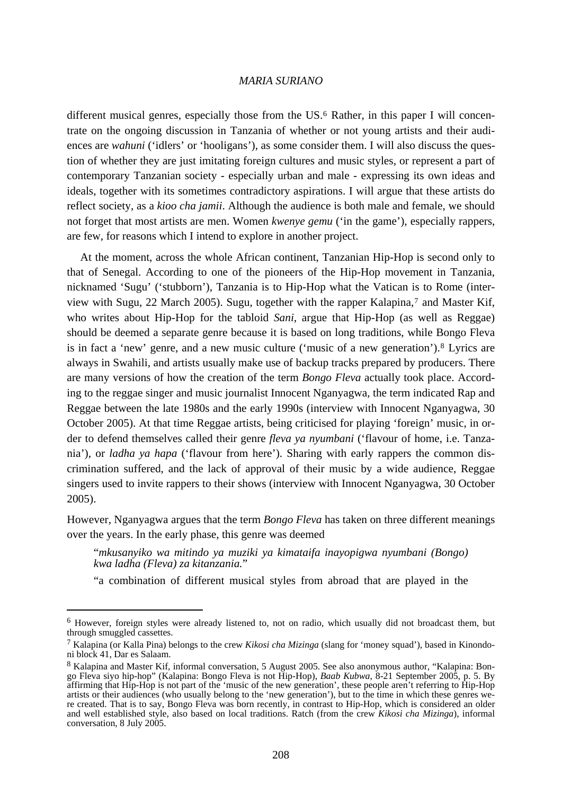different musical genres, especially those from the US.<sup>[6](#page-1-0)</sup> Rather, in this paper I will concentrate on the ongoing discussion in Tanzania of whether or not young artists and their audiences are *wahuni* ('idlers' or 'hooligans'), as some consider them. I will also discuss the question of whether they are just imitating foreign cultures and music styles, or represent a part of contemporary Tanzanian society - especially urban and male - expressing its own ideas and ideals, together with its sometimes contradictory aspirations. I will argue that these artists do reflect society, as a *kioo cha jamii*. Although the audience is both male and female, we should not forget that most artists are men. Women *kwenye gemu* ('in the game'), especially rappers, are few, for reasons which I intend to explore in another project.

 At the moment, across the whole African continent, Tanzanian Hip-Hop is second only to that of Senegal. According to one of the pioneers of the Hip-Hop movement in Tanzania, nicknamed 'Sugu' ('stubborn'), Tanzania is to Hip-Hop what the Vatican is to Rome (interview with Sugu, 22 March 2005). Sugu, together with the rapper Kalapina,[7](#page-1-1) and Master Kif, who writes about Hip-Hop for the tabloid *Sani*, argue that Hip-Hop (as well as Reggae) should be deemed a separate genre because it is based on long traditions, while Bongo Fleva is in fact a 'new' genre, and a new music culture ('music of a new generation').[8](#page-1-2) Lyrics are always in Swahili, and artists usually make use of backup tracks prepared by producers. There are many versions of how the creation of the term *Bongo Fleva* actually took place. According to the reggae singer and music journalist Innocent Nganyagwa, the term indicated Rap and Reggae between the late 1980s and the early 1990s (interview with Innocent Nganyagwa, 30 October 2005). At that time Reggae artists, being criticised for playing 'foreign' music, in order to defend themselves called their genre *fleva ya nyumbani* ('flavour of home, i.e. Tanzania'), or *ladha ya hapa* ('flavour from here'). Sharing with early rappers the common discrimination suffered, and the lack of approval of their music by a wide audience, Reggae singers used to invite rappers to their shows (interview with Innocent Nganyagwa, 30 October 2005).

However, Nganyagwa argues that the term *Bongo Fleva* has taken on three different meanings over the years. In the early phase, this genre was deemed

"*mkusanyiko wa mitindo ya muziki ya kimataifa inayopigwa nyumbani (Bongo) kwa ladha (Fleva) za kitanzania.*"

"a combination of different musical styles from abroad that are played in the

<span id="page-1-0"></span><sup>6</sup> However, foreign styles were already listened to, not on radio, which usually did not broadcast them, but through smuggled cassettes.

<span id="page-1-1"></span><sup>7</sup> Kalapina (or Kalla Pina) belongs to the crew *Kikosi cha Mizinga* (slang for 'money squad'), based in Kinondoni block 41, Dar es Salaam.

<span id="page-1-2"></span><sup>8</sup> Kalapina and Master Kif, informal conversation, 5 August 2005. See also anonymous author, "Kalapina: Bongo Fleva siyo hip-hop" (Kalapina: Bongo Fleva is not Hip-Hop), *Baab Kubwa*, 8-21 September 2005, p. 5. By affirming that Hip-Hop is not part of the 'music of the new generation', these people aren't referring to Hip-Hop artists or their audiences (who usually belong to the 'new generation'), but to the time in which these genres were created. That is to say, Bongo Fleva was born recently, in contrast to Hip-Hop, which is considered an older and well established style, also based on local traditions. Ratch (from the crew *Kikosi cha Mizinga*), informal conversation, 8 July 2005.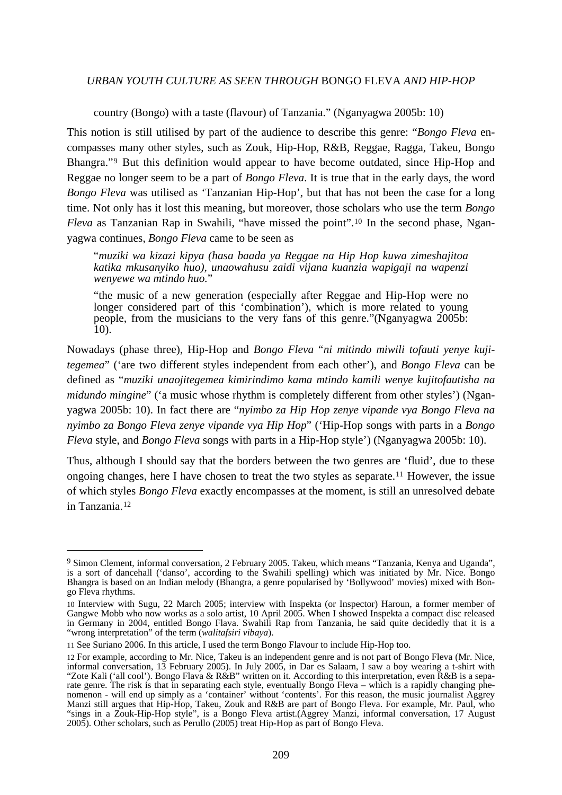country (Bongo) with a taste (flavour) of Tanzania." (Nganyagwa 2005b: 10)

This notion is still utilised by part of the audience to describe this genre: "*Bongo Fleva* encompasses many other styles, such as Zouk, Hip-Hop, R&B, Reggae, Ragga, Takeu, Bongo Bhangra."[9](#page-2-0) But this definition would appear to have become outdated, since Hip-Hop and Reggae no longer seem to be a part of *Bongo Fleva*. It is true that in the early days, the word *Bongo Fleva* was utilised as 'Tanzanian Hip-Hop', but that has not been the case for a long time. Not only has it lost this meaning, but moreover, those scholars who use the term *Bongo Fleva* as Tanzanian Rap in Swahili, "have missed the point".<sup>[10](#page-2-1)</sup> In the second phase, Nganyagwa continues, *Bongo Fleva* came to be seen as

"*muziki wa kizazi kipya (hasa baada ya Reggae na Hip Hop kuwa zimeshajitoa katika mkusanyiko huo), unaowahusu zaidi vijana kuanzia wapigaji na wapenzi wenyewe wa mtindo huo.*"

"the music of a new generation (especially after Reggae and Hip-Hop were no longer considered part of this 'combination'), which is more related to young people, from the musicians to the very fans of this genre."(Nganyagwa 2005b: 10).

Nowadays (phase three), Hip-Hop and *Bongo Fleva* "*ni mitindo miwili tofauti yenye kujitegemea*" ('are two different styles independent from each other'), and *Bongo Fleva* can be defined as "*muziki unaojitegemea kimirindimo kama mtindo kamili wenye kujitofautisha na midundo mingine*" ('a music whose rhythm is completely different from other styles') (Nganyagwa 2005b: 10). In fact there are "*nyimbo za Hip Hop zenye vipande vya Bongo Fleva na nyimbo za Bongo Fleva zenye vipande vya Hip Hop*" ('Hip-Hop songs with parts in a *Bongo Fleva* style, and *Bongo Fleva* songs with parts in a Hip-Hop style') (Nganyagwa 2005b: 10).

Thus, although I should say that the borders between the two genres are 'fluid', due to these ongoing changes, here I have chosen to treat the two styles as separate.[11](#page-2-2) However, the issue of which styles *Bongo Fleva* exactly encompasses at the moment, is still an unresolved debate in Tanzania.[12](#page-2-3)

<span id="page-2-0"></span><sup>9</sup> Simon Clement, informal conversation, 2 February 2005. Takeu, which means "Tanzania, Kenya and Uganda", is a sort of dancehall ('danso', according to the Swahili spelling) which was initiated by Mr. Nice. Bongo Bhangra is based on an Indian melody (Bhangra, a genre popularised by 'Bollywood' movies) mixed with Bongo Fleva rhythms.

<span id="page-2-1"></span><sup>10</sup> Interview with Sugu, 22 March 2005; interview with Inspekta (or Inspector) Haroun, a former member of Gangwe Mobb who now works as a solo artist, 10 April 2005. When I showed Inspekta a compact disc released in Germany in 2004, entitled Bongo Flava. Swahili Rap from Tanzania, he said quite decidedly that it is a "wrong interpretation" of the term (*walitafsiri vibaya*).

<span id="page-2-2"></span><sup>11</sup> See Suriano 2006. In this article, I used the term Bongo Flavour to include Hip-Hop too.

<span id="page-2-3"></span><sup>12</sup> For example, according to Mr. Nice, Takeu is an independent genre and is not part of Bongo Fleva (Mr. Nice, informal conversation, 13 February 2005). In July 2005, in Dar es Salaam, I saw a boy wearing a t-shirt with "Zote Kali ('all cool'). Bongo Flava & R&B" written on it. According to this interpretation, even R&B is a separate genre. The risk is that in separating each style, eventually Bongo Fleva – which is a rapidly changing phenomenon - will end up simply as a 'container' without 'contents'. For this reason, the music journalist Aggrey Manzi still argues that Hip-Hop, Takeu, Zouk and R&B are part of Bongo Fleva. For example, Mr. Paul, who "sings in a Zouk-Hip-Hop style", is a Bongo Fleva artist.(Aggrey Manzi, informal conversation, 17 August 2005). Other scholars, such as Perullo (2005) treat Hip-Hop as part of Bongo Fleva.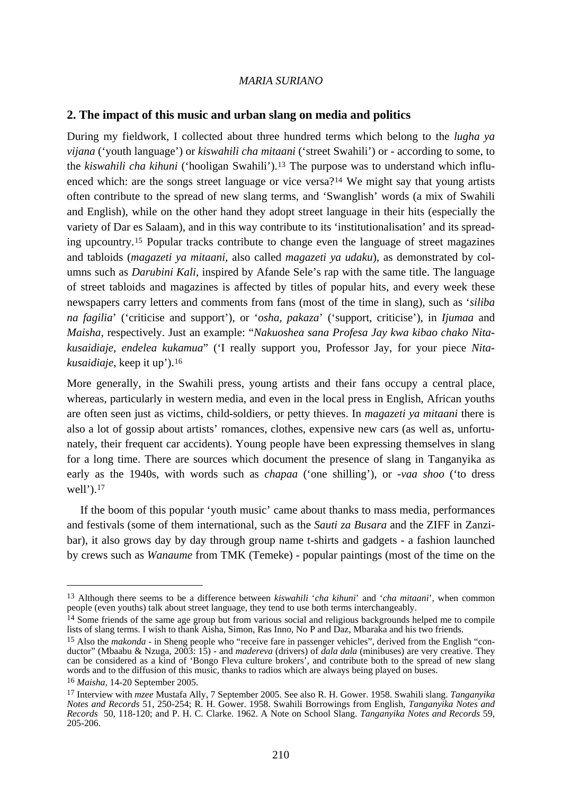## **2. The impact of this music and urban slang on media and politics**

During my fieldwork, I collected about three hundred terms which belong to the *lugha ya vijana* ('youth language') or *kiswahili cha mitaani* ('street Swahili') or - according to some, to the *kiswahili cha kihuni* ('hooligan Swahili')[.13](#page-3-0) The purpose was to understand which influenced which: are the songs street language or vice versa?[14](#page-3-1) We might say that young artists often contribute to the spread of new slang terms, and 'Swanglish' words (a mix of Swahili and English), while on the other hand they adopt street language in their hits (especially the variety of Dar es Salaam), and in this way contribute to its 'institutionalisation' and its spreading upcountry.[15](#page-3-2) Popular tracks contribute to change even the language of street magazines and tabloids (*magazeti ya mitaani*, also called *magazeti ya udaku*), as demonstrated by columns such as *Darubini Kali*, inspired by Afande Sele's rap with the same title. The language of street tabloids and magazines is affected by titles of popular hits, and every week these newspapers carry letters and comments from fans (most of the time in slang), such as '*siliba na fagilia*' ('criticise and support'), or '*osha, pakaza*' ('support, criticise'), in *Ijumaa* and *Maisha,* respectively. Just an example: "*Nakuoshea sana Profesa Jay kwa kibao chako Nitakusaidiaje, endelea kukamua*" ('I really support you, Professor Jay, for your piece *Nitakusaidiaje*, keep it up').[16](#page-3-3)

More generally, in the Swahili press, young artists and their fans occupy a central place, whereas, particularly in western media, and even in the local press in English, African youths are often seen just as victims, child**-**soldiers, or petty thieves. In *magazeti ya mitaani* there is also a lot of gossip about artists' romances, clothes, expensive new cars (as well as, unfortunately, their frequent car accidents). Young people have been expressing themselves in slang for a long time. There are sources which document the presence of slang in Tanganyika as early as the 1940s, with words such as *chapaa* ('one shilling'), or *-vaa shoo* ('to dress well').<sup>[17](#page-3-4)</sup>

 If the boom of this popular 'youth music' came about thanks to mass media, performances and festivals (some of them international, such as the *Sauti za Busara* and the ZIFF in Zanzibar), it also grows day by day through group name t-shirts and gadgets - a fashion launched by crews such as *Wanaume* from TMK (Temeke) - popular paintings (most of the time on the

<span id="page-3-0"></span><sup>13</sup> Although there seems to be a difference between *kiswahili* '*cha kihuni*' and '*cha mitaani*', when common people (even youths) talk about street language, they tend to use both terms interchangeably.

<span id="page-3-1"></span><sup>&</sup>lt;sup>14</sup> Some friends of the same age group but from various social and religious backgrounds helped me to compile lists of slang terms. I wish to thank Aisha, Simon, Ras Inno, No P and Daz, Mbaraka and his two friends.

<span id="page-3-2"></span><sup>&</sup>lt;sup>15</sup> Also the *makonda* - in Sheng people who "receive fare in passenger vehicles", derived from the English "conductor" (Mbaabu & Nzuga, 2003: 15) - and *madereva* (drivers) of *dala dala* (minibuses) are very creative. They can be considered as a kind of 'Bongo Fleva culture brokers', and contribute both to the spread of new slang words and to the diffusion of this music, thanks to radios which are always being played on buses.

<span id="page-3-3"></span><sup>16</sup> *Maisha,* 14-20 September 2005.

<span id="page-3-4"></span><sup>17</sup> Interview with *mzee* Mustafa Ally, 7 September 2005. See also R. H. Gower. 1958. Swahili slang. *Tanganyika Notes and Records* 51, 250-254; R. H. Gower. 1958. Swahili Borrowings from English, *Tanganyika Notes and Records* 50, 118-120; and P. H. C. Clarke. 1962. A Note on School Slang. *Tanganyika Notes and Records* 59, 205-206.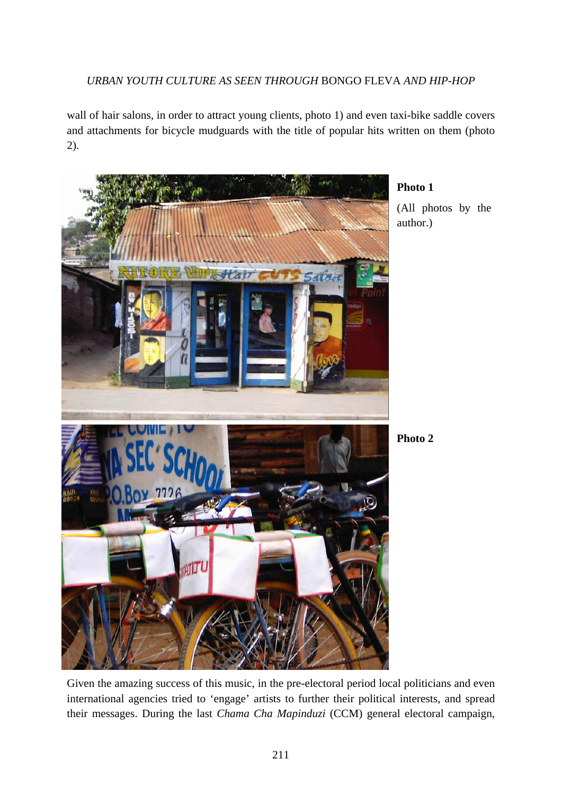wall of hair salons, in order to attract young clients, photo 1) and even taxi-bike saddle covers and attachments for bicycle mudguards with the title of popular hits written on them (photo 2).



# **Photo 1**  (All photos by the

**Photo 2** 

Given the amazing success of this music, in the pre-electoral period local politicians and even international agencies tried to 'engage' artists to further their political interests, and spread their messages. During the last *Chama Cha Mapinduzi* (CCM) general electoral campaign,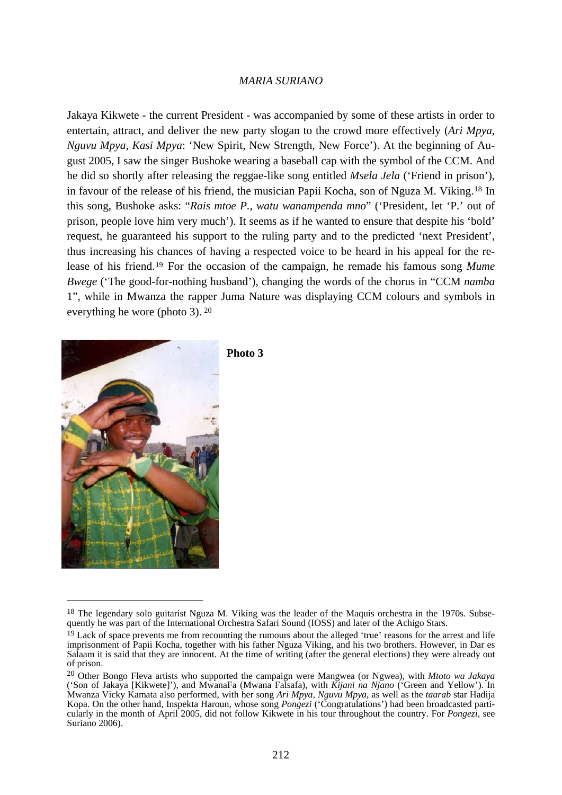Jakaya Kikwete - the current President - was accompanied by some of these artists in order to entertain, attract, and deliver the new party slogan to the crowd more effectively (*Ari Mpya, Nguvu Mpya, Kasi Mpya*: 'New Spirit, New Strength, New Force'). At the beginning of August 2005, I saw the singer Bushoke wearing a baseball cap with the symbol of the CCM. And he did so shortly after releasing the reggae-like song entitled *Msela Jela* ('Friend in prison'), in favour of the release of his friend, the musician Papii Kocha, son of Nguza M. Viking.[18](#page-5-0) In this song, Bushoke asks: "*Rais mtoe P.*, *watu wanampenda mno*" ('President, let 'P.' out of prison, people love him very much'). It seems as if he wanted to ensure that despite his 'bold' request, he guaranteed his support to the ruling party and to the predicted 'next President', thus increasing his chances of having a respected voice to be heard in his appeal for the release of his friend.[19](#page-5-1) For the occasion of the campaign, he remade his famous song *Mume Bwege* ('The good-for-nothing husband'), changing the words of the chorus in "CCM *namba* 1", while in Mwanza the rapper Juma Nature was displaying CCM colours and symbols in everything he wore (photo 3). [20](#page-5-2)



**Photo 3** 

<span id="page-5-0"></span><sup>&</sup>lt;sup>18</sup> The legendary solo guitarist Nguza M. Viking was the leader of the Maquis orchestra in the 1970s. Subsequently he was part of the International Orchestra Safari Sound (IOSS) and later of the Achigo Stars.

<span id="page-5-1"></span><sup>&</sup>lt;sup>19</sup> Lack of space prevents me from recounting the rumours about the alleged 'true' reasons for the arrest and life imprisonment of Papii Kocha, together with his father Nguza Viking, and his two brothers. However, in Dar es Salaam it is said that they are innocent. At the time of writing (after the general elections) they were already out of prison.

<span id="page-5-2"></span><sup>20</sup> Other Bongo Fleva artists who supported the campaign were Mangwea (or Ngwea), with *Mtoto wa Jakaya* ('Son of Jakaya [Kikwete]'), and MwanaFa (Mwana Falsafa), with *Kijani na Njano* ('Green and Yellow'). In Mwanza Vicky Kamata also performed, with her song *Ari Mpya, Nguvu Mpya*, as well as the *taarab* star Hadija Kopa. On the other hand, Inspekta Haroun, whose song *Pongezi* ('Congratulations') had been broadcasted particularly in the month of April 2005, did not follow Kikwete in his tour throughout the country. For *Pongezi*, see Suriano 2006).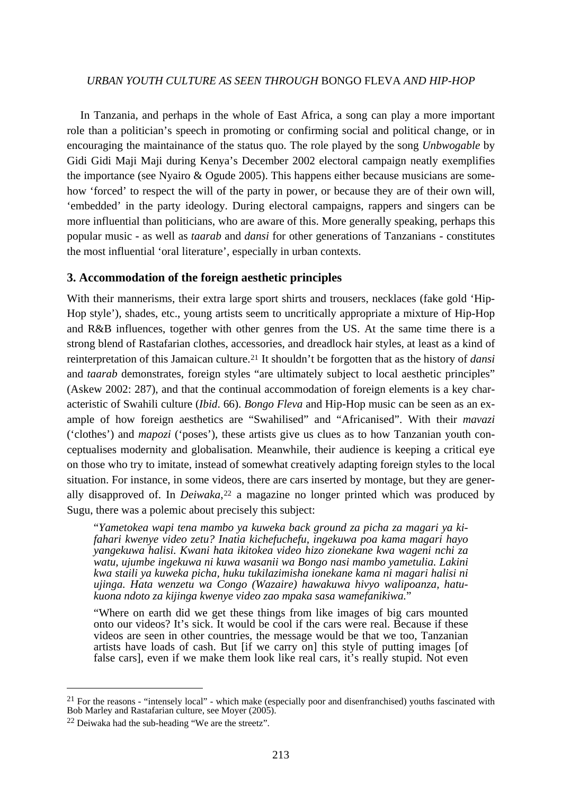In Tanzania, and perhaps in the whole of East Africa, a song can play a more important role than a politician's speech in promoting or confirming social and political change, or in encouraging the maintainance of the status quo. The role played by the song *Unbwogable* by Gidi Gidi Maji Maji during Kenya's December 2002 electoral campaign neatly exemplifies the importance (see Nyairo & Ogude 2005). This happens either because musicians are somehow 'forced' to respect the will of the party in power, or because they are of their own will, 'embedded' in the party ideology. During electoral campaigns, rappers and singers can be more influential than politicians, who are aware of this. More generally speaking, perhaps this popular music - as well as *taarab* and *dansi* for other generations of Tanzanians - constitutes the most influential 'oral literature', especially in urban contexts.

#### **3. Accommodation of the foreign aesthetic principles**

With their mannerisms, their extra large sport shirts and trousers, necklaces (fake gold 'Hip-Hop style'), shades, etc., young artists seem to uncritically appropriate a mixture of Hip-Hop and R&B influences, together with other genres from the US. At the same time there is a strong blend of Rastafarian clothes, accessories, and dreadlock hair styles, at least as a kind of reinterpretation of this Jamaican culture.[21](#page-6-0) It shouldn't be forgotten that as the history of *dansi* and *taarab* demonstrates, foreign styles "are ultimately subject to local aesthetic principles" (Askew 2002: 287), and that the continual accommodation of foreign elements is a key characteristic of Swahili culture (*Ibid*. 66). *Bongo Fleva* and Hip-Hop music can be seen as an example of how foreign aesthetics are "Swahilised" and "Africanised". With their *mavazi* ('clothes') and *mapozi* ('poses'), these artists give us clues as to how Tanzanian youth conceptualises modernity and globalisation. Meanwhile, their audience is keeping a critical eye on those who try to imitate, instead of somewhat creatively adapting foreign styles to the local situation. For instance, in some videos, there are cars inserted by montage, but they are generally disapproved of. In *Deiwaka*,<sup>[22](#page-6-1)</sup> a magazine no longer printed which was produced by Sugu, there was a polemic about precisely this subject:

"*Yametokea wapi tena mambo ya kuweka back ground za picha za magari ya kifahari kwenye video zetu? Inatia kichefuchefu, ingekuwa poa kama magari hayo yangekuwa halisi. Kwani hata ikitokea video hizo zionekane kwa wageni nchi za watu, ujumbe ingekuwa ni kuwa wasanii wa Bongo nasi mambo yametulia. Lakini kwa staili ya kuweka picha, huku tukilazimisha ionekane kama ni magari halisi ni ujinga. Hata wenzetu wa Congo (Wazaire) hawakuwa hivyo walipoanza, hatukuona ndoto za kijinga kwenye video zao mpaka sasa wamefanikiwa.*"

"Where on earth did we get these things from like images of big cars mounted onto our videos? It's sick. It would be cool if the cars were real. Because if these videos are seen in other countries, the message would be that we too, Tanzanian artists have loads of cash. But [if we carry on] this style of putting images [of false cars], even if we make them look like real cars, it's really stupid. Not even

<span id="page-6-0"></span> $21$  For the reasons - "intensely local" - which make (especially poor and disenfranchised) youths fascinated with Bob Marley and Rastafarian culture, see Moyer (2005).

<span id="page-6-1"></span><sup>22</sup> Deiwaka had the sub-heading "We are the streetz".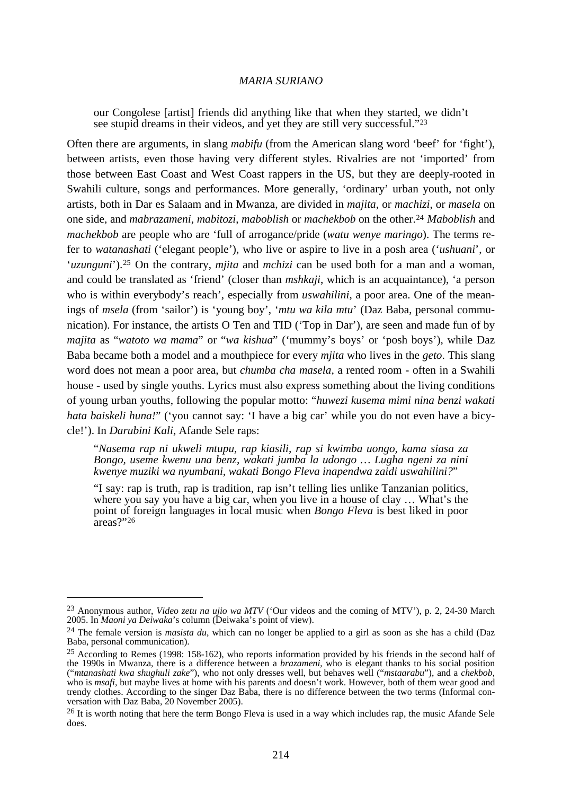our Congolese [artist] friends did anything like that when they started, we didn't see stupid dreams in their videos, and yet they are still very successful."[23](#page-7-0)

Often there are arguments, in slang *mabifu* (from the American slang word 'beef' for 'fight'), between artists, even those having very different styles. Rivalries are not 'imported' from those between East Coast and West Coast rappers in the US, but they are deeply-rooted in Swahili culture, songs and performances. More generally, 'ordinary' urban youth, not only artists, both in Dar es Salaam and in Mwanza, are divided in *majita,* or *machizi*, or *masela* on one side, and *mabrazameni*, *mabitozi*, *maboblish* or *machekbob* on the other.[24](#page-7-1) *Maboblish* and *machekbob* are people who are 'full of arrogance/pride (*watu wenye maringo*). The terms refer to *watanashati* ('elegant people'), who live or aspire to live in a posh area ('*ushuani*', or '*uzunguni*').[25](#page-7-2) On the contrary, *mjita* and *mchizi* can be used both for a man and a woman, and could be translated as 'friend' (closer than *mshkaji*, which is an acquaintance), 'a person who is within everybody's reach', especially from *uswahilini*, a poor area. One of the meanings of *msela* (from 'sailor') is 'young boy', '*mtu wa kila mtu*' (Daz Baba, personal communication). For instance, the artists O Ten and TID ('Top in Dar'), are seen and made fun of by *majita* as "*watoto wa mama*" or "*wa kishua*" ('mummy's boys' or 'posh boys'), while Daz Baba became both a model and a mouthpiece for every *mjita* who lives in the *geto*. This slang word does not mean a poor area, but *chumba cha masela,* a rented room - often in a Swahili house - used by single youths. Lyrics must also express something about the living conditions of young urban youths, following the popular motto: "*huwezi kusema mimi nina benzi wakati hata baiskeli huna!*" ('you cannot say: 'I have a big car' while you do not even have a bicycle!'). In *Darubini Kali*, Afande Sele raps:

"*Nasema rap ni ukweli mtupu, rap kiasili, rap si kwimba uongo, kama siasa za Bongo, useme kwenu una benz, wakati jumba la udongo … Lugha ngeni za nini kwenye muziki wa nyumbani, wakati Bongo Fleva inapendwa zaidi uswahilini?*"

"I say: rap is truth, rap is tradition, rap isn't telling lies unlike Tanzanian politics, where you say you have a big car, when you live in a house of clay … What's the point of foreign languages in local music when *Bongo Fleva* is best liked in poor areas?"[26](#page-7-3)

<span id="page-7-0"></span><sup>23</sup> Anonymous author, *Video zetu na ujio wa MTV* ('Our videos and the coming of MTV'), p. 2, 24-30 March 2005. In *Maoni ya Deiwaka*'s column (Deiwaka's point of view).

<span id="page-7-1"></span><sup>24</sup> The female version is *masista du*, which can no longer be applied to a girl as soon as she has a child (Daz Baba, personal communication).

<span id="page-7-2"></span><sup>25</sup> According to Remes (1998: 158-162), who reports information provided by his friends in the second half of the 1990s in Mwanza, there is a difference between a *brazameni*, who is elegant thanks to his social position ("mtanashati kwa shughuli zake"), who not only dresses well, but behaves well ("mstaarabu"), and a chekbob, who is msafi, but maybe lives at home with his parents and doesn't work. However, both of them wear good and trendy clothes. According to the singer Daz Baba, there is no difference between the two terms (Informal conversation with Daz Baba, 20 November 2005).

<span id="page-7-3"></span><sup>&</sup>lt;sup>26</sup> It is worth noting that here the term Bongo Fleva is used in a way which includes rap, the music Afande Sele does.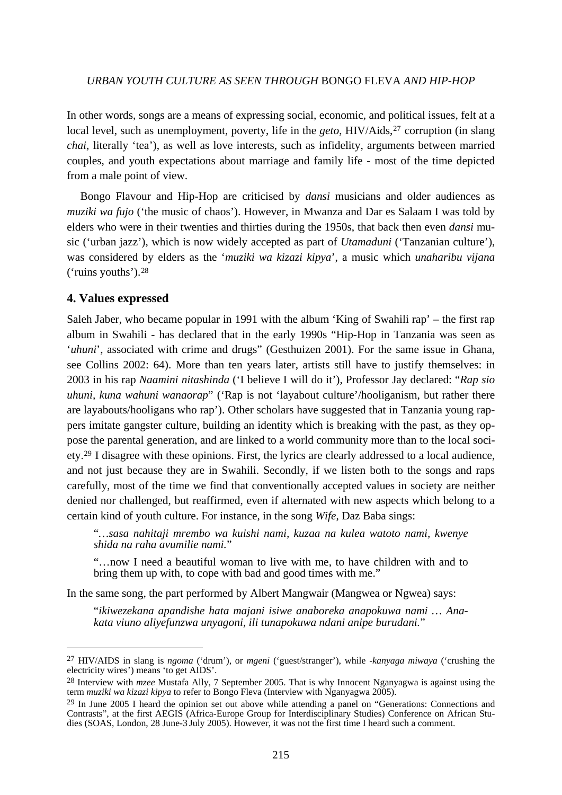In other words, songs are a means of expressing social, economic, and political issues, felt at a local level, such as unemployment, poverty, life in the *geto*, HIV/Aids,<sup>[27](#page-8-0)</sup> corruption (in slang *chai*, literally 'tea'), as well as love interests, such as infidelity, arguments between married couples, and youth expectations about marriage and family life - most of the time depicted from a male point of view.

 Bongo Flavour and Hip-Hop are criticised by *dansi* musicians and older audiences as *muziki wa fujo* ('the music of chaos'). However, in Mwanza and Dar es Salaam I was told by elders who were in their twenties and thirties during the 1950s, that back then even *dansi* music ('urban jazz'), which is now widely accepted as part of *Utamaduni* ('Tanzanian culture'), was considered by elders as the '*muziki wa kizazi kipya*', a music which *unaharibu vijana* ('ruins youths').[28](#page-8-1) 

#### **4. Values expressed**

1

Saleh Jaber, who became popular in 1991 with the album 'King of Swahili rap' – the first rap album in Swahili - has declared that in the early 1990s "Hip-Hop in Tanzania was seen as '*uhuni*', associated with crime and drugs" (Gesthuizen 2001). For the same issue in Ghana, see Collins 2002: 64). More than ten years later, artists still have to justify themselves: in 2003 in his rap *Naamini nitashinda* ('I believe I will do it'), Professor Jay declared: "*Rap sio uhuni, kuna wahuni wanaorap*" ('Rap is not 'layabout culture'/hooliganism, but rather there are layabouts/hooligans who rap'). Other scholars have suggested that in Tanzania young rappers imitate gangster culture, building an identity which is breaking with the past, as they oppose the parental generation, and are linked to a world community more than to the local society.[29](#page-8-2) I disagree with these opinions. First, the lyrics are clearly addressed to a local audience, and not just because they are in Swahili. Secondly, if we listen both to the songs and raps carefully, most of the time we find that conventionally accepted values in society are neither denied nor challenged, but reaffirmed, even if alternated with new aspects which belong to a certain kind of youth culture. For instance, in the song *Wife*, Daz Baba sings:

"*…sasa nahitaji mrembo wa kuishi nami, kuzaa na kulea watoto nami, kwenye shida na raha avumilie nami.*"

"…now I need a beautiful woman to live with me, to have children with and to bring them up with, to cope with bad and good times with me."

In the same song, the part performed by Albert Mangwair (Mangwea or Ngwea) says:

"*ikiwezekana apandishe hata majani isiwe anaboreka anapokuwa nami … Anakata viuno aliyefunzwa unyagoni, ili tunapokuwa ndani anipe burudani.*"

<span id="page-8-0"></span><sup>27</sup> HIV/AIDS in slang is *ngoma* ('drum'), or *mgeni* ('guest/stranger'), while -*kanyaga miwaya* ('crushing the electricity wires') means 'to get AIDS'.

<span id="page-8-1"></span><sup>28</sup> Interview with *mzee* Mustafa Ally, 7 September 2005. That is why Innocent Nganyagwa is against using the term *muziki wa kizazi kipya* to refer to Bongo Fleva (Interview with Nganyagwa 2005).

<span id="page-8-2"></span><sup>&</sup>lt;sup>29</sup> In June 2005 I heard the opinion set out above while attending a panel on "Generations: Connections and Contrasts", at the first AEGIS (Africa-Europe Group for Interdisciplinary Studies) Conference on African Studies (SOAS, London, 28 June-3 July 2005). However, it was not the first time I heard such a comment.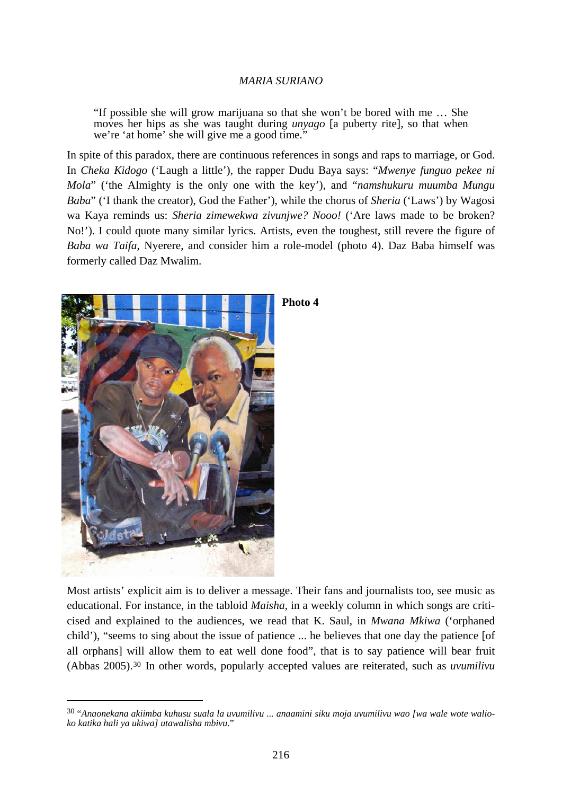"If possible she will grow marijuana so that she won't be bored with me … She moves her hips as she was taught during *unyago* [a puberty rite], so that when we're 'at home' she will give me a good time."

In spite of this paradox, there are continuous references in songs and raps to marriage, or God. In *Cheka Kidogo* ('Laugh a little'), the rapper Dudu Baya says: "*Mwenye funguo pekee ni Mola*" ('the Almighty is the only one with the key'), and "*namshukuru muumba Mungu Baba*" ('I thank the creator), God the Father'), while the chorus of *Sheria* ('Laws') by Wagosi wa Kaya reminds us: *Sheria zimewekwa zivunjwe? Nooo!* ('Are laws made to be broken? No!'). I could quote many similar lyrics. Artists, even the toughest, still revere the figure of *Baba wa Taifa*, Nyerere, and consider him a role-model (photo 4). Daz Baba himself was formerly called Daz Mwalim.



<u>.</u>

#### **Photo 4**

Most artists' explicit aim is to deliver a message. Their fans and journalists too, see music as educational. For instance, in the tabloid *Maisha,* in a weekly column in which songs are criticised and explained to the audiences, we read that K. Saul, in *Mwana Mkiwa* ('orphaned child'), "seems to sing about the issue of patience ... he believes that one day the patience [of all orphans] will allow them to eat well done food", that is to say patience will bear fruit (Abbas 2005).[30](#page-9-0) In other words, popularly accepted values are reiterated, such as *uvumilivu*

<span id="page-9-0"></span><sup>30 &</sup>quot;*Anaonekana akiimba kuhusu suala la uvumilivu ... anaamini siku moja uvumilivu wao [wa wale wote walioko katika hali ya ukiwa] utawalisha mbivu*."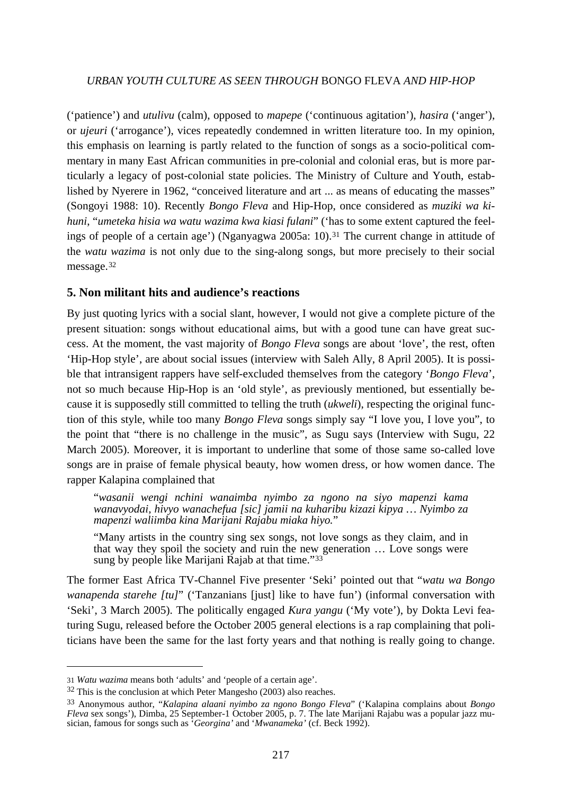('patience') and *utulivu* (calm), opposed to *mapepe* ('continuous agitation'), *hasira* ('anger'), or *ujeuri* ('arrogance'), vices repeatedly condemned in written literature too. In my opinion, this emphasis on learning is partly related to the function of songs as a socio-political commentary in many East African communities in pre-colonial and colonial eras, but is more particularly a legacy of post-colonial state policies. The Ministry of Culture and Youth, established by Nyerere in 1962, "conceived literature and art ... as means of educating the masses" (Songoyi 1988: 10). Recently *Bongo Fleva* and Hip-Hop, once considered as *muziki wa kihuni*, "*umeteka hisia wa watu wazima kwa kiasi fulani*" ('has to some extent captured the feel-ings of people of a certain age') (Nganyagwa 2005a: 10).<sup>[31](#page-10-0)</sup> The current change in attitude of the *watu wazima* is not only due to the sing-along songs, but more precisely to their social message.<sup>[32](#page-10-1)</sup>

## **5. Non militant hits and audience's reactions**

By just quoting lyrics with a social slant, however, I would not give a complete picture of the present situation: songs without educational aims, but with a good tune can have great success. At the moment, the vast majority of *Bongo Fleva* songs are about 'love', the rest, often 'Hip-Hop style', are about social issues (interview with Saleh Ally, 8 April 2005). It is possible that intransigent rappers have self-excluded themselves from the category '*Bongo Fleva*', not so much because Hip-Hop is an 'old style', as previously mentioned, but essentially because it is supposedly still committed to telling the truth (*ukweli*), respecting the original function of this style, while too many *Bongo Fleva* songs simply say "I love you, I love you", to the point that "there is no challenge in the music", as Sugu says (Interview with Sugu, 22 March 2005). Moreover, it is important to underline that some of those same so-called love songs are in praise of female physical beauty, how women dress, or how women dance. The rapper Kalapina complained that

"*wasanii wengi nchini wanaimba nyimbo za ngono na siyo mapenzi kama wanavyodai, hivyo wanachefua [sic] jamii na kuharibu kizazi kipya … Nyimbo za mapenzi waliimba kina Marijani Rajabu miaka hiyo.*"

"Many artists in the country sing sex songs, not love songs as they claim, and in that way they spoil the society and ruin the new generation … Love songs were sung by people like Marijani Rajab at that time."[33](#page-10-2)

The former East Africa TV-Channel Five presenter 'Seki' pointed out that "*watu wa Bongo wanapenda starehe [tu]*" ('Tanzanians [just] like to have fun') (informal conversation with 'Seki', 3 March 2005). The politically engaged *Kura yangu* ('My vote'), by Dokta Levi featuring Sugu, released before the October 2005 general elections is a rap complaining that politicians have been the same for the last forty years and that nothing is really going to change.

<span id="page-10-0"></span><sup>31</sup> *Watu wazima* means both 'adults' and 'people of a certain age'.

<span id="page-10-1"></span><sup>32</sup> This is the conclusion at which Peter Mangesho (2003) also reaches.

<span id="page-10-2"></span><sup>33</sup> Anonymous author, "*Kalapina alaani nyimbo za ngono Bongo Fleva*" ('Kalapina complains about *Bongo Fleva* sex songs'), Dimba, 25 September-1 October 2005, p. 7. The late Marijani Rajabu was a popular jazz musician, famous for songs such as '*Georgina'* and '*Mwanameka'* (cf. Beck 1992).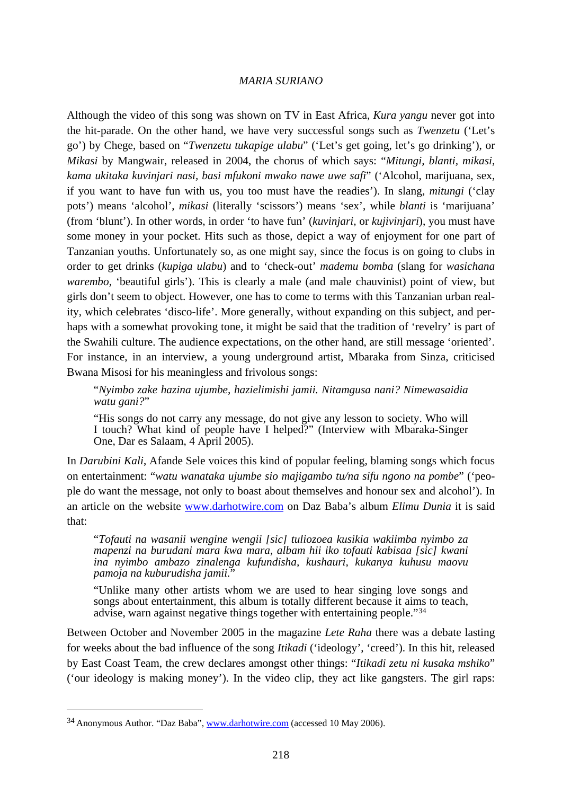Although the video of this song was shown on TV in East Africa, *Kura yangu* never got into the hit-parade. On the other hand, we have very successful songs such as *Twenzetu* ('Let's go') by Chege, based on "*Twenzetu tukapige ulabu*" ('Let's get going, let's go drinking'), or *Mikasi* by Mangwair, released in 2004, the chorus of which says: "*Mitungi, blanti, mikasi*, *kama ukitaka kuvinjari nasi, basi mfukoni mwako nawe uwe safi*" ('Alcohol, marijuana, sex, if you want to have fun with us, you too must have the readies'). In slang, *mitungi* ('clay pots') means 'alcohol', *mikasi* (literally 'scissors') means 'sex', while *blanti* is 'marijuana' (from 'blunt'). In other words, in order 'to have fun' (*kuvinjari,* or *kujivinjari*), you must have some money in your pocket. Hits such as those, depict a way of enjoyment for one part of Tanzanian youths. Unfortunately so, as one might say, since the focus is on going to clubs in order to get drinks (*kupiga ulabu*) and to 'check-out' *mademu bomba* (slang for *wasichana warembo*, 'beautiful girls'). This is clearly a male (and male chauvinist) point of view, but girls don't seem to object. However, one has to come to terms with this Tanzanian urban reality, which celebrates 'disco-life'. More generally, without expanding on this subject, and perhaps with a somewhat provoking tone, it might be said that the tradition of 'revelry' is part of the Swahili culture. The audience expectations, on the other hand, are still message 'oriented'. For instance, in an interview, a young underground artist, Mbaraka from Sinza, criticised Bwana Misosi for his meaningless and frivolous songs:

"*Nyimbo zake hazina ujumbe, hazielimishi jamii. Nitamgusa nani? Nimewasaidia watu gani?*"

"His songs do not carry any message, do not give any lesson to society. Who will I touch? What kind of people have I helped?" (Interview with Mbaraka-Singer One, Dar es Salaam, 4 April 2005).

In *Darubini Kali*, Afande Sele voices this kind of popular feeling, blaming songs which focus on entertainment: "*watu wanataka ujumbe sio majigambo tu/na sifu ngono na pombe*" ('people do want the message, not only to boast about themselves and honour sex and alcohol'). In an article on the website [www.darhotwire.com](http://www.darhotwire.com/) on Daz Baba's album *Elimu Dunia* it is said that:

"*Tofauti na wasanii wengine wengii [sic] tuliozoea kusikia wakiimba nyimbo za mapenzi na burudani mara kwa mara, albam hii iko tofauti kabisaa [sic] kwani ina nyimbo ambazo zinalenga kufundisha, kushauri, kukanya kuhusu maovu pamoja na kuburudisha jamii.*"

"Unlike many other artists whom we are used to hear singing love songs and songs about entertainment, this album is totally different because it aims to teach, advise, warn against negative things together with entertaining people."[34](#page-11-0)

Between October and November 2005 in the magazine *Lete Raha* there was a debate lasting for weeks about the bad influence of the song *Itikadi* ('ideology', 'creed'). In this hit, released by East Coast Team, the crew declares amongst other things: "*Itikadi zetu ni kusaka mshiko*" ('our ideology is making money'). In the video clip, they act like gangsters. The girl raps:

<span id="page-11-0"></span><sup>34</sup> Anonymous Author. "Daz Baba", [www.darhotwire.com](http://www.darhotwire.com/) (accessed 10 May 2006).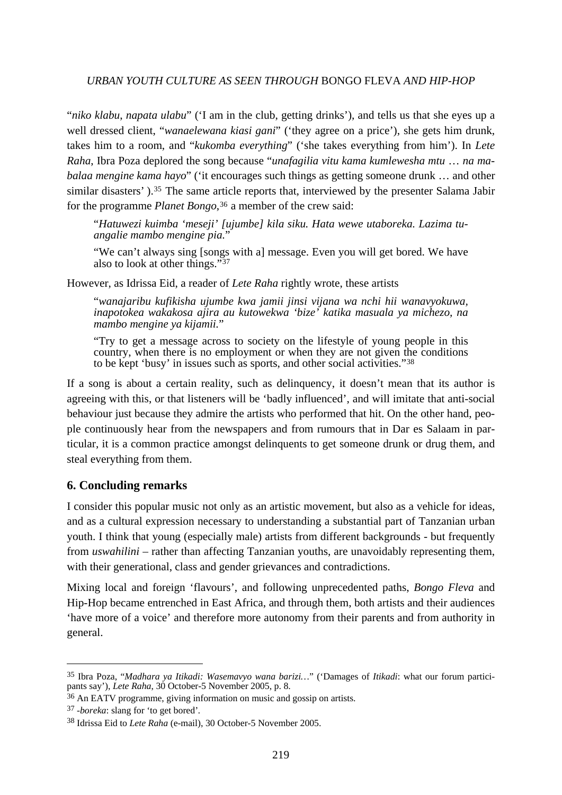"*niko klabu*, *napata ulabu*" ('I am in the club, getting drinks'), and tells us that she eyes up a well dressed client, "*wanaelewana kiasi gani*" ('they agree on a price'), she gets him drunk, takes him to a room, and "*kukomba everything*" ('she takes everything from him'). In *Lete Raha*, Ibra Poza deplored the song because "*unafagilia vitu kama kumlewesha mtu* … *na mabalaa mengine kama hayo*" ('it encourages such things as getting someone drunk … and other similar disasters').<sup>[35](#page-12-0)</sup> The same article reports that, interviewed by the presenter Salama Jabir for the programme *Planet Bongo*,<sup>[36](#page-12-1)</sup> a member of the crew said:

"*Hatuwezi kuimba 'meseji' [ujumbe] kila siku. Hata wewe utaboreka. Lazima tuangalie mambo mengine pia.*"

"We can't always sing [songs with a] message. Even you will get bored. We have also to look at other things."[37](#page-12-2)

However, as Idrissa Eid, a reader of *Lete Raha* rightly wrote, these artists

"*wanajaribu kufikisha ujumbe kwa jamii jinsi vijana wa nchi hii wanavyokuwa, inapotokea wakakosa ajira au kutowekwa 'bize' katika masuala ya michezo, na mambo mengine ya kijamii.*"

"Try to get a message across to society on the lifestyle of young people in this country, when there is no employment or when they are not given the conditions to be kept 'busy' in issues such as sports, and other social activities."[38](#page-12-3)

If a song is about a certain reality, such as delinquency, it doesn't mean that its author is agreeing with this, or that listeners will be 'badly influenced', and will imitate that anti-social behaviour just because they admire the artists who performed that hit. On the other hand, people continuously hear from the newspapers and from rumours that in Dar es Salaam in particular, it is a common practice amongst delinquents to get someone drunk or drug them, and steal everything from them.

## **6. Concluding remarks**

I consider this popular music not only as an artistic movement, but also as a vehicle for ideas, and as a cultural expression necessary to understanding a substantial part of Tanzanian urban youth. I think that young (especially male) artists from different backgrounds - but frequently from *uswahilini* – rather than affecting Tanzanian youths, are unavoidably representing them, with their generational, class and gender grievances and contradictions.

Mixing local and foreign 'flavours', and following unprecedented paths, *Bongo Fleva* and Hip-Hop became entrenched in East Africa, and through them, both artists and their audiences 'have more of a voice' and therefore more autonomy from their parents and from authority in general.

<span id="page-12-0"></span><sup>35</sup> Ibra Poza, "*Madhara ya Itikadi: Wasemavyo wana barizi…*" ('Damages of *Itikadi*: what our forum participants say'), *Lete Raha*, 30 October-5 November 2005, p. 8.

<span id="page-12-1"></span><sup>36</sup> An EATV programme, giving information on music and gossip on artists.

<span id="page-12-2"></span><sup>37 -</sup>*boreka*: slang for 'to get bored'*.*

<span id="page-12-3"></span><sup>38</sup> Idrissa Eid to *Lete Raha* (e-mail), 30 October-5 November 2005.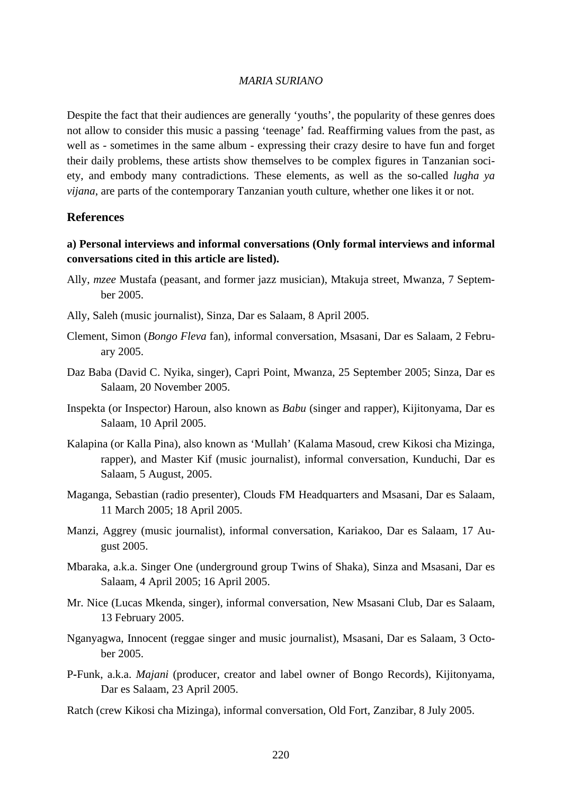Despite the fact that their audiences are generally 'youths', the popularity of these genres does not allow to consider this music a passing 'teenage' fad. Reaffirming values from the past, as well as - sometimes in the same album - expressing their crazy desire to have fun and forget their daily problems, these artists show themselves to be complex figures in Tanzanian society, and embody many contradictions. These elements, as well as the so-called *lugha ya vijana*, are parts of the contemporary Tanzanian youth culture, whether one likes it or not.

#### **References**

## **a) Personal interviews and informal conversations (Only formal interviews and informal conversations cited in this article are listed).**

- Ally, *mzee* Mustafa (peasant, and former jazz musician), Mtakuja street, Mwanza, 7 September 2005.
- Ally, Saleh (music journalist), Sinza, Dar es Salaam, 8 April 2005.
- Clement, Simon (*Bongo Fleva* fan), informal conversation, Msasani, Dar es Salaam, 2 February 2005.
- Daz Baba (David C. Nyika, singer), Capri Point, Mwanza, 25 September 2005; Sinza, Dar es Salaam, 20 November 2005.
- Inspekta (or Inspector) Haroun, also known as *Babu* (singer and rapper), Kijitonyama, Dar es Salaam, 10 April 2005.
- Kalapina (or Kalla Pina), also known as 'Mullah' (Kalama Masoud, crew Kikosi cha Mizinga, rapper), and Master Kif (music journalist), informal conversation, Kunduchi, Dar es Salaam, 5 August, 2005.
- Maganga, Sebastian (radio presenter), Clouds FM Headquarters and Msasani, Dar es Salaam, 11 March 2005; 18 April 2005.
- Manzi, Aggrey (music journalist), informal conversation, Kariakoo, Dar es Salaam, 17 August 2005.
- Mbaraka, a.k.a. Singer One (underground group Twins of Shaka), Sinza and Msasani, Dar es Salaam, 4 April 2005; 16 April 2005.
- Mr. Nice (Lucas Mkenda, singer), informal conversation, New Msasani Club, Dar es Salaam, 13 February 2005.
- Nganyagwa, Innocent (reggae singer and music journalist), Msasani, Dar es Salaam, 3 October 2005.
- P**-**Funk, a.k.a. *Majani* (producer, creator and label owner of Bongo Records), Kijitonyama, Dar es Salaam, 23 April 2005.
- Ratch (crew Kikosi cha Mizinga), informal conversation, Old Fort, Zanzibar, 8 July 2005.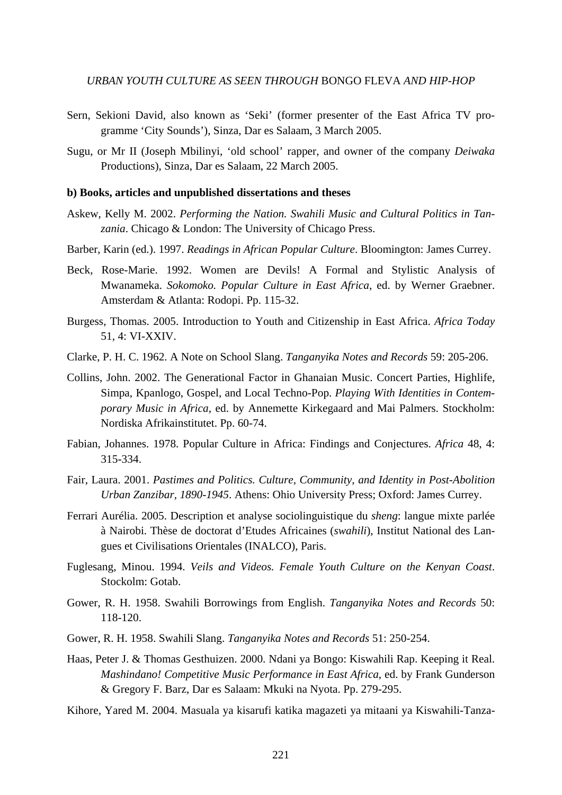- Sern, Sekioni David, also known as 'Seki' (former presenter of the East Africa TV programme 'City Sounds'), Sinza, Dar es Salaam, 3 March 2005.
- Sugu, or Mr II (Joseph Mbilinyi, 'old school' rapper, and owner of the company *Deiwaka* Productions), Sinza, Dar es Salaam, 22 March 2005.

#### **b) Books, articles and unpublished dissertations and theses**

- Askew, Kelly M. 2002. *Performing the Nation. Swahili Music and Cultural Politics in Tanzania*. Chicago & London: The University of Chicago Press.
- Barber, Karin (ed.). 1997. *Readings in African Popular Culture*. Bloomington: James Currey.
- Beck, Rose-Marie. 1992. Women are Devils! A Formal and Stylistic Analysis of Mwanameka. *Sokomoko. Popular Culture in East Africa*, ed. by Werner Graebner. Amsterdam & Atlanta: Rodopi. Pp. 115-32.
- Burgess, Thomas. 2005. Introduction to Youth and Citizenship in East Africa. *Africa Today* 51, 4: VI-XXIV.
- Clarke, P. H. C. 1962. A Note on School Slang. *Tanganyika Notes and Records* 59: 205-206.
- Collins, John. 2002. The Generational Factor in Ghanaian Music. Concert Parties, Highlife, Simpa, Kpanlogo, Gospel, and Local Techno-Pop. *Playing With Identities in Contemporary Music in Africa*, ed. by Annemette Kirkegaard and Mai Palmers. Stockholm: Nordiska Afrikainstitutet. Pp. 60-74.
- Fabian, Johannes. 1978. Popular Culture in Africa: Findings and Conjectures. *Africa* 48, 4: 315-334.
- Fair, Laura. 2001. *Pastimes and Politics. Culture, Community, and Identity in Post-Abolition Urban Zanzibar, 1890-1945*. Athens: Ohio University Press; Oxford: James Currey.
- Ferrari Aurélia. 2005. Description et analyse sociolinguistique du *sheng*: langue mixte parlée à Nairobi. Thèse de doctorat d'Etudes Africaines (*swahili*), Institut National des Langues et Civilisations Orientales (INALCO), Paris.
- Fuglesang, Minou. 1994. *Veils and Videos. Female Youth Culture on the Kenyan Coast*. Stockolm: Gotab.
- Gower, R. H. 1958. Swahili Borrowings from English. *Tanganyika Notes and Records* 50: 118-120.
- Gower, R. H. 1958. Swahili Slang. *Tanganyika Notes and Records* 51: 250-254.
- Haas, Peter J. & Thomas Gesthuizen. 2000. Ndani ya Bongo: Kiswahili Rap. Keeping it Real. *Mashindano! Competitive Music Performance in East Africa*, ed. by Frank Gunderson & Gregory F. Barz, Dar es Salaam: Mkuki na Nyota. Pp. 279-295.
- Kihore, Yared M. 2004. Masuala ya kisarufi katika magazeti ya mitaani ya Kiswahili-Tanza-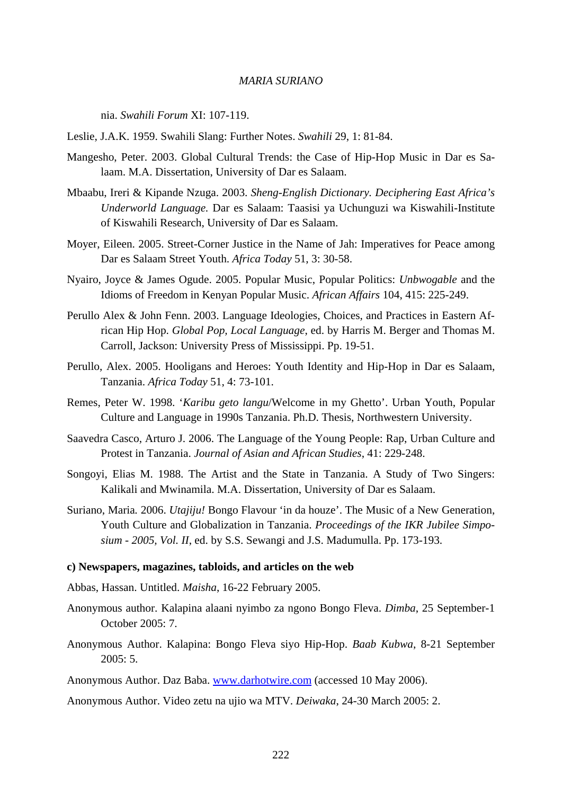nia. *Swahili Forum* XI: 107-119.

Leslie, J.A.K. 1959. Swahili Slang: Further Notes. *Swahili* 29, 1: 81-84.

- Mangesho, Peter. 2003. Global Cultural Trends: the Case of Hip-Hop Music in Dar es Salaam. M.A. Dissertation, University of Dar es Salaam.
- Mbaabu, Ireri & Kipande Nzuga. 2003. *Sheng-English Dictionary. Deciphering East Africa's Underworld Language.* Dar es Salaam: Taasisi ya Uchunguzi wa Kiswahili-Institute of Kiswahili Research, University of Dar es Salaam.
- Moyer, Eileen. 2005. Street-Corner Justice in the Name of Jah: Imperatives for Peace among Dar es Salaam Street Youth. *Africa Today* 51, 3: 30-58.
- Nyairo, Joyce & James Ogude. 2005. Popular Music, Popular Politics: *Unbwogable* and the Idioms of Freedom in Kenyan Popular Music. *African Affairs* 104, 415: 225-249.
- Perullo Alex & John Fenn. 2003. Language Ideologies, Choices, and Practices in Eastern African Hip Hop. *Global Pop, Local Language*, ed. by Harris M. Berger and Thomas M. Carroll, Jackson: University Press of Mississippi. Pp. 19-51.
- Perullo, Alex. 2005. Hooligans and Heroes: Youth Identity and Hip-Hop in Dar es Salaam, Tanzania. *Africa Today* 51, 4: 73-101.
- Remes, Peter W. 1998. '*Karibu geto langu*/Welcome in my Ghetto'. Urban Youth, Popular Culture and Language in 1990s Tanzania. Ph.D. Thesis, Northwestern University.
- Saavedra Casco, Arturo J. 2006. The Language of the Young People: Rap, Urban Culture and Protest in Tanzania. *Journal of Asian and African Studies*, 41: 229-248.
- Songoyi, Elias M. 1988. The Artist and the State in Tanzania. A Study of Two Singers: Kalikali and Mwinamila. M.A. Dissertation, University of Dar es Salaam.
- Suriano, Maria*.* 2006. *Utajiju!* Bongo Flavour 'in da houze'. The Music of a New Generation, Youth Culture and Globalization in Tanzania. *Proceedings of the IKR Jubilee Simposium - 2005, Vol. II*, ed. by S.S. Sewangi and J.S. Madumulla. Pp. 173-193.

#### **c) Newspapers, magazines, tabloids, and articles on the web**

Abbas, Hassan. Untitled. *Maisha*, 16-22 February 2005.

- Anonymous author. Kalapina alaani nyimbo za ngono Bongo Fleva. *Dimba*, 25 September-1 October 2005: 7.
- Anonymous Author. Kalapina: Bongo Fleva siyo Hip-Hop. *Baab Kubwa*, 8-21 September 2005: 5.
- Anonymous Author. Daz Baba. [www.darhotwire.com](http://www.darhotwire.com/) (accessed 10 May 2006).
- Anonymous Author. Video zetu na ujio wa MTV. *Deiwaka*, 24-30 March 2005: 2.